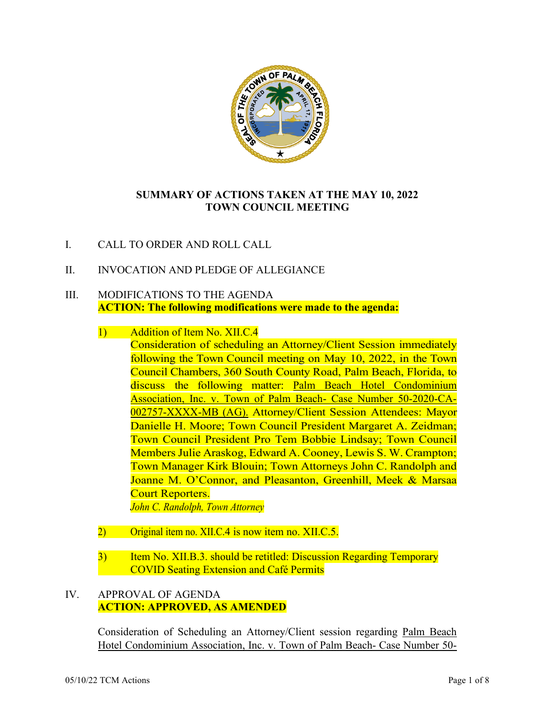

# **SUMMARY OF ACTIONS TAKEN AT THE MAY 10, 2022 TOWN COUNCIL MEETING**

- I. CALL TO ORDER AND ROLL CALL
- II. INVOCATION AND PLEDGE OF ALLEGIANCE

## III. MODIFICATIONS TO THE AGENDA **ACTION: The following modifications were made to the agenda:**

- 1) Addition of Item No. XII.C.4 Consideration of scheduling an Attorney/Client Session immediately following the Town Council meeting on May 10, 2022, in the Town Council Chambers, 360 South County Road, Palm Beach, Florida, to discuss the following matter: Palm Beach Hotel Condominium Association, Inc. v. Town of Palm Beach- Case Number 50-2020-CA-002757-XXXX-MB (AG). Attorney/Client Session Attendees: Mayor Danielle H. Moore; Town Council President Margaret A. Zeidman; Town Council President Pro Tem Bobbie Lindsay; Town Council Members Julie Araskog, Edward A. Cooney, Lewis S. W. Crampton; Town Manager Kirk Blouin; Town Attorneys John C. Randolph and Joanne M. O'Connor, and Pleasanton, Greenhill, Meek & Marsaa Court Reporters. *John C. Randolph, Town Attorney*
- 2) Original item no. XII.C.4 is now item no. XII.C.5.
- 3) Item No. XII.B.3. should be retitled: Discussion Regarding Temporary COVID Seating Extension and Café Permits

## IV. APPROVAL OF AGENDA **ACTION: APPROVED, AS AMENDED**

Consideration of Scheduling an Attorney/Client session regarding Palm Beach Hotel Condominium Association, Inc. v. Town of Palm Beach- Case Number 50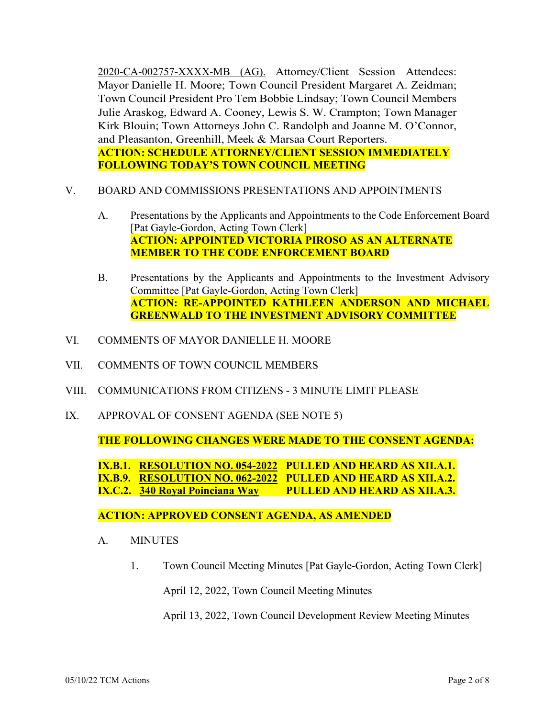2020-CA-002757-XXXX-MB (AG). Attorney/Client Session Attendees: Mayor Danielle H. Moore; Town Council President Margaret A. Zeidman; Town Council President Pro Tem Bobbie Lindsay; Town Council Members Julie Araskog, Edward A. Cooney, Lewis S. W. Crampton; Town Manager Kirk Blouin; Town Attorneys John C. Randolph and Joanne M. O'Connor, and Pleasanton, Greenhill, Meek & Marsaa Court Reporters. **ACTION: SCHEDULE ATTORNEY/CLIENT SESSION IMMEDIATELY FOLLOWING TODAY'S TOWN COUNCIL MEETING**

- V. BOARD AND COMMISSIONS PRESENTATIONS AND APPOINTMENTS
	- A. Presentations by the Applicants and Appointments to the Code Enforcement Board [Pat Gayle-Gordon, Acting Town Clerk] **ACTION: APPOINTED VICTORIA PIROSO AS AN ALTERNATE MEMBER TO THE CODE ENFORCEMENT BOARD**
	- B. Presentations by the Applicants and Appointments to the Investment Advisory Committee [Pat Gayle-Gordon, Acting Town Clerk] **ACTION: RE-APPOINTED KATHLEEN ANDERSON AND MICHAEL GREENWALD TO THE INVESTMENT ADVISORY COMMITTEE**
- VI. COMMENTS OF MAYOR DANIELLE H. MOORE
- VII. COMMENTS OF TOWN COUNCIL MEMBERS
- VIII. COMMUNICATIONS FROM CITIZENS 3 MINUTE LIMIT PLEASE
- IX. APPROVAL OF CONSENT AGENDA (SEE NOTE 5)

**THE FOLLOWING CHANGES WERE MADE TO THE CONSENT AGENDA:**

**IX.B.1. RESOLUTION NO. 054-2022 PULLED AND HEARD AS XII.A.1. IX.B.9. RESOLUTION NO. 062-2022 PULLED AND HEARD AS XII.A.2. IX.C.2. 340 Royal Poinciana Way PULLED AND HEARD AS XII.A.3.**

**ACTION: APPROVED CONSENT AGENDA, AS AMENDED**

- A. MINUTES
	- 1. Town Council Meeting Minutes [Pat Gayle-Gordon, Acting Town Clerk]

April 12, 2022, Town Council Meeting Minutes

April 13, 2022, Town Council Development Review Meeting Minutes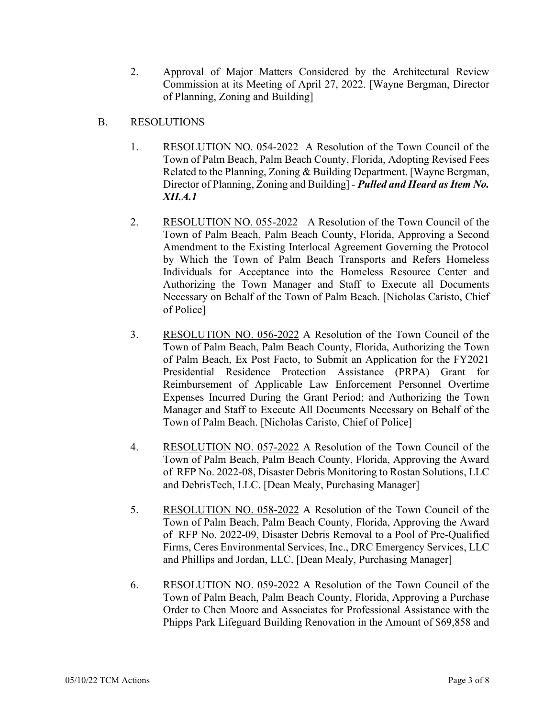- 2. Approval of Major Matters Considered by the Architectural Review Commission at its Meeting of April 27, 2022. [Wayne Bergman, Director of Planning, Zoning and Building]
- B. RESOLUTIONS
	- 1. RESOLUTION NO. 054-2022 A Resolution of the Town Council of the Town of Palm Beach, Palm Beach County, Florida, Adopting Revised Fees Related to the Planning, Zoning & Building Department. [Wayne Bergman, Director of Planning, Zoning and Building] - *Pulled and Heard as Item No. XII.A.1*
	- 2. RESOLUTION NO. 055-2022 A Resolution of the Town Council of the Town of Palm Beach, Palm Beach County, Florida, Approving a Second Amendment to the Existing Interlocal Agreement Governing the Protocol by Which the Town of Palm Beach Transports and Refers Homeless Individuals for Acceptance into the Homeless Resource Center and Authorizing the Town Manager and Staff to Execute all Documents Necessary on Behalf of the Town of Palm Beach. [Nicholas Caristo, Chief of Police]
	- 3. RESOLUTION NO. 056-2022 A Resolution of the Town Council of the Town of Palm Beach, Palm Beach County, Florida, Authorizing the Town of Palm Beach, Ex Post Facto, to Submit an Application for the FY2021 Presidential Residence Protection Assistance (PRPA) Grant for Reimbursement of Applicable Law Enforcement Personnel Overtime Expenses Incurred During the Grant Period; and Authorizing the Town Manager and Staff to Execute All Documents Necessary on Behalf of the Town of Palm Beach. [Nicholas Caristo, Chief of Police]
	- 4. RESOLUTION NO. 057-2022 A Resolution of the Town Council of the Town of Palm Beach, Palm Beach County, Florida, Approving the Award of RFP No. 2022-08, Disaster Debris Monitoring to Rostan Solutions, LLC and DebrisTech, LLC. [Dean Mealy, Purchasing Manager]
	- 5. RESOLUTION NO. 058-2022 A Resolution of the Town Council of the Town of Palm Beach, Palm Beach County, Florida, Approving the Award of RFP No. 2022-09, Disaster Debris Removal to a Pool of Pre-Qualified Firms, Ceres Environmental Services, Inc., DRC Emergency Services, LLC and Phillips and Jordan, LLC. [Dean Mealy, Purchasing Manager]
	- 6. RESOLUTION NO. 059-2022 A Resolution of the Town Council of the Town of Palm Beach, Palm Beach County, Florida, Approving a Purchase Order to Chen Moore and Associates for Professional Assistance with the Phipps Park Lifeguard Building Renovation in the Amount of \$69,858 and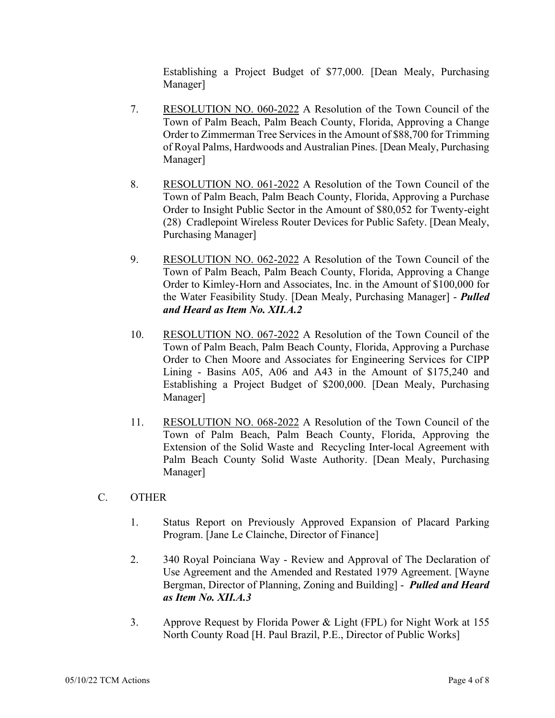Establishing a Project Budget of \$77,000. [Dean Mealy, Purchasing Manager]

- 7. RESOLUTION NO. 060-2022 A Resolution of the Town Council of the Town of Palm Beach, Palm Beach County, Florida, Approving a Change Order to Zimmerman Tree Services in the Amount of \$88,700 for Trimming of Royal Palms, Hardwoods and Australian Pines. [Dean Mealy, Purchasing Manager]
- 8. RESOLUTION NO. 061-2022 A Resolution of the Town Council of the Town of Palm Beach, Palm Beach County, Florida, Approving a Purchase Order to Insight Public Sector in the Amount of \$80,052 for Twenty-eight (28) Cradlepoint Wireless Router Devices for Public Safety. [Dean Mealy, Purchasing Manager]
- 9. RESOLUTION NO. 062-2022 A Resolution of the Town Council of the Town of Palm Beach, Palm Beach County, Florida, Approving a Change Order to Kimley-Horn and Associates, Inc. in the Amount of \$100,000 for the Water Feasibility Study. [Dean Mealy, Purchasing Manager] - *Pulled and Heard as Item No. XII.A.2*
- 10. RESOLUTION NO. 067-2022 A Resolution of the Town Council of the Town of Palm Beach, Palm Beach County, Florida, Approving a Purchase Order to Chen Moore and Associates for Engineering Services for CIPP Lining - Basins A05, A06 and A43 in the Amount of \$175,240 and Establishing a Project Budget of \$200,000. [Dean Mealy, Purchasing Manager]
- 11. RESOLUTION NO. 068-2022 A Resolution of the Town Council of the Town of Palm Beach, Palm Beach County, Florida, Approving the Extension of the Solid Waste and Recycling Inter-local Agreement with Palm Beach County Solid Waste Authority. [Dean Mealy, Purchasing Manager]
- C. OTHER
	- 1. Status Report on Previously Approved Expansion of Placard Parking Program. [Jane Le Clainche, Director of Finance]
	- 2. 340 Royal Poinciana Way Review and Approval of The Declaration of Use Agreement and the Amended and Restated 1979 Agreement. [Wayne Bergman, Director of Planning, Zoning and Building] - *Pulled and Heard as Item No. XII.A.3*
	- 3. Approve Request by Florida Power & Light (FPL) for Night Work at 155 North County Road [H. Paul Brazil, P.E., Director of Public Works]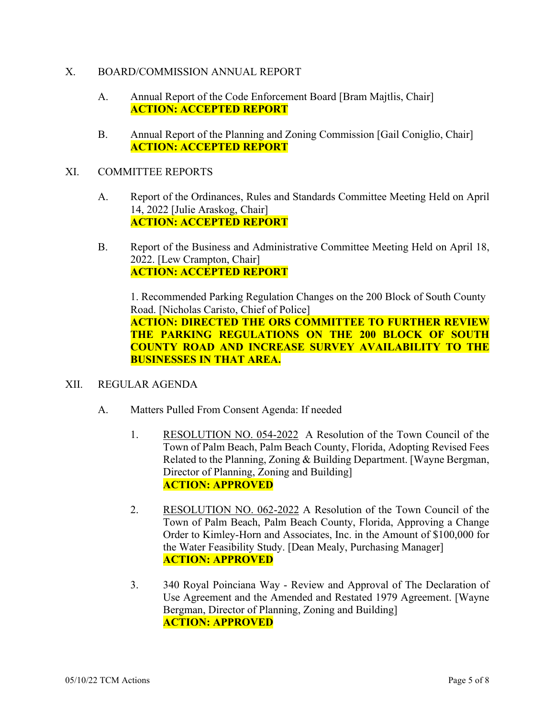## X. BOARD/COMMISSION ANNUAL REPORT

- A. Annual Report of the Code Enforcement Board [Bram Majtlis, Chair] **ACTION: ACCEPTED REPORT**
- B. Annual Report of the Planning and Zoning Commission [Gail Coniglio, Chair] **ACTION: ACCEPTED REPORT**

## XI. COMMITTEE REPORTS

- A. Report of the Ordinances, Rules and Standards Committee Meeting Held on April 14, 2022 [Julie Araskog, Chair] **ACTION: ACCEPTED REPORT**
- B. Report of the Business and Administrative Committee Meeting Held on April 18, 2022. [Lew Crampton, Chair] **ACTION: ACCEPTED REPORT**

1. Recommended Parking Regulation Changes on the 200 Block of South County Road. [Nicholas Caristo, Chief of Police] **ACTION: DIRECTED THE ORS COMMITTEE TO FURTHER REVIEW THE PARKING REGULATIONS ON THE 200 BLOCK OF SOUTH COUNTY ROAD AND INCREASE SURVEY AVAILABILITY TO THE BUSINESSES IN THAT AREA.**

#### XII. REGULAR AGENDA

- A. Matters Pulled From Consent Agenda: If needed
	- 1. RESOLUTION NO. 054-2022 A Resolution of the Town Council of the Town of Palm Beach, Palm Beach County, Florida, Adopting Revised Fees Related to the Planning, Zoning & Building Department. [Wayne Bergman, Director of Planning, Zoning and Building] **ACTION: APPROVED**
	- 2. RESOLUTION NO. 062-2022 A Resolution of the Town Council of the Town of Palm Beach, Palm Beach County, Florida, Approving a Change Order to Kimley-Horn and Associates, Inc. in the Amount of \$100,000 for the Water Feasibility Study. [Dean Mealy, Purchasing Manager] **ACTION: APPROVED**
	- 3. 340 Royal Poinciana Way Review and Approval of The Declaration of Use Agreement and the Amended and Restated 1979 Agreement. [Wayne Bergman, Director of Planning, Zoning and Building] **ACTION: APPROVED**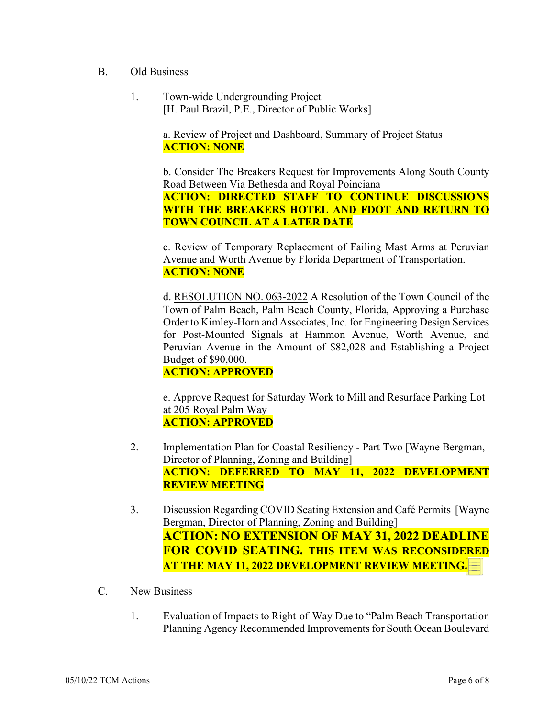- B. Old Business
	- 1. Town-wide Undergrounding Project [H. Paul Brazil, P.E., Director of Public Works]

a. Review of Project and Dashboard, Summary of Project Status **ACTION: NONE**

b. Consider The Breakers Request for Improvements Along South County Road Between Via Bethesda and Royal Poinciana

**ACTION: DIRECTED STAFF TO CONTINUE DISCUSSIONS WITH THE BREAKERS HOTEL AND FDOT AND RETURN TO TOWN COUNCIL AT A LATER DATE**

c. Review of Temporary Replacement of Failing Mast Arms at Peruvian Avenue and Worth Avenue by Florida Department of Transportation. **ACTION: NONE**

d. RESOLUTION NO. 063-2022 A Resolution of the Town Council of the Town of Palm Beach, Palm Beach County, Florida, Approving a Purchase Order to Kimley-Horn and Associates, Inc. for Engineering Design Services for Post-Mounted Signals at Hammon Avenue, Worth Avenue, and Peruvian Avenue in the Amount of \$82,028 and Establishing a Project Budget of \$90,000.

**ACTION: APPROVED**

e. Approve Request for Saturday Work to Mill and Resurface Parking Lot at 205 Royal Palm Way **ACTION: APPROVED**

- 2. Implementation Plan for Coastal Resiliency Part Two [Wayne Bergman, Director of Planning, Zoning and Building] **ACTION: DEFERRED TO MAY 11, 2022 DEVELOPMENT REVIEW MEETING**
- 3. Discussion Regarding COVID Seating Extension and Café Permits [Wayne Bergman, Director of Planning, Zoning and Building] **ACTION: NO EXTENSION OF MAY 31, 2022 DEADLINE FOR COVID SEATING. THIS ITEM WAS RECONSIDERED AT THE MAY 11, 2022 DEVELOPMENT REVIEW MEETING.**
- C. New Business
	- 1. Evaluation of Impacts to Right-of-Way Due to "Palm Beach Transportation Planning Agency Recommended Improvements for South Ocean Boulevard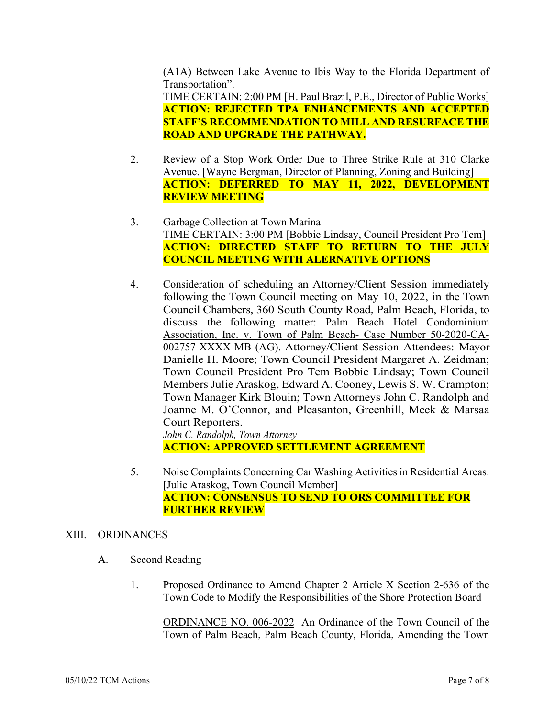(A1A) Between Lake Avenue to Ibis Way to the Florida Department of Transportation". TIME CERTAIN: 2:00 PM [H. Paul Brazil, P.E., Director of Public Works]

**ACTION: REJECTED TPA ENHANCEMENTS AND ACCEPTED STAFF'S RECOMMENDATION TO MILL AND RESURFACE THE ROAD AND UPGRADE THE PATHWAY.**

- 2. Review of a Stop Work Order Due to Three Strike Rule at 310 Clarke Avenue. [Wayne Bergman, Director of Planning, Zoning and Building] **ACTION: DEFERRED TO MAY 11, 2022, DEVELOPMENT REVIEW MEETING**
- 3. Garbage Collection at Town Marina TIME CERTAIN: 3:00 PM [Bobbie Lindsay, Council President Pro Tem] **ACTION: DIRECTED STAFF TO RETURN TO THE JULY COUNCIL MEETING WITH ALERNATIVE OPTIONS**
- 4. Consideration of scheduling an Attorney/Client Session immediately following the Town Council meeting on May 10, 2022, in the Town Council Chambers, 360 South County Road, Palm Beach, Florida, to discuss the following matter: Palm Beach Hotel Condominium Association, Inc. v. Town of Palm Beach- Case Number 50-2020-CA-002757-XXXX-MB (AG). Attorney/Client Session Attendees: Mayor Danielle H. Moore; Town Council President Margaret A. Zeidman; Town Council President Pro Tem Bobbie Lindsay; Town Council Members Julie Araskog, Edward A. Cooney, Lewis S. W. Crampton; Town Manager Kirk Blouin; Town Attorneys John C. Randolph and Joanne M. O'Connor, and Pleasanton, Greenhill, Meek & Marsaa Court Reporters. *John C. Randolph, Town Attorney*

**ACTION: APPROVED SETTLEMENT AGREEMENT**

5. Noise Complaints Concerning Car Washing Activities in Residential Areas. [Julie Araskog, Town Council Member] **ACTION: CONSENSUS TO SEND TO ORS COMMITTEE FOR FURTHER REVIEW**

## XIII. ORDINANCES

- A. Second Reading
	- 1. Proposed Ordinance to Amend Chapter 2 Article X Section 2-636 of the Town Code to Modify the Responsibilities of the Shore Protection Board

ORDINANCE NO. 006-2022 An Ordinance of the Town Council of the Town of Palm Beach, Palm Beach County, Florida, Amending the Town